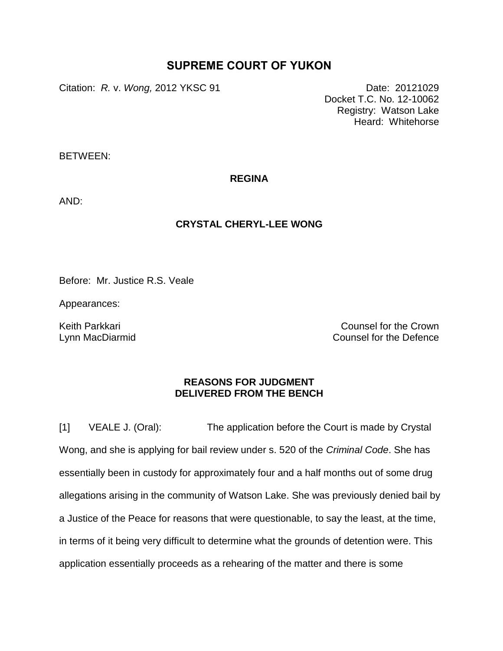## **SUPREME COURT OF YUKON**

Citation: *R.* v. *Wong,* 2012 YKSC 91 Date: 20121029

Docket T.C. No. 12-10062 Registry: Watson Lake Heard: Whitehorse

BETWEEN:

**REGINA**

AND:

## **CRYSTAL CHERYL-LEE WONG**

Before: Mr. Justice R.S. Veale

Appearances:

Keith Parkkari Lynn MacDiarmid

Counsel for the Crown Counsel for the Defence

## **REASONS FOR JUDGMENT DELIVERED FROM THE BENCH**

[1] VEALE J. (Oral): The application before the Court is made by Crystal Wong, and she is applying for bail review under s. 520 of the *Criminal Code*. She has essentially been in custody for approximately four and a half months out of some drug allegations arising in the community of Watson Lake. She was previously denied bail by a Justice of the Peace for reasons that were questionable, to say the least, at the time, in terms of it being very difficult to determine what the grounds of detention were. This application essentially proceeds as a rehearing of the matter and there is some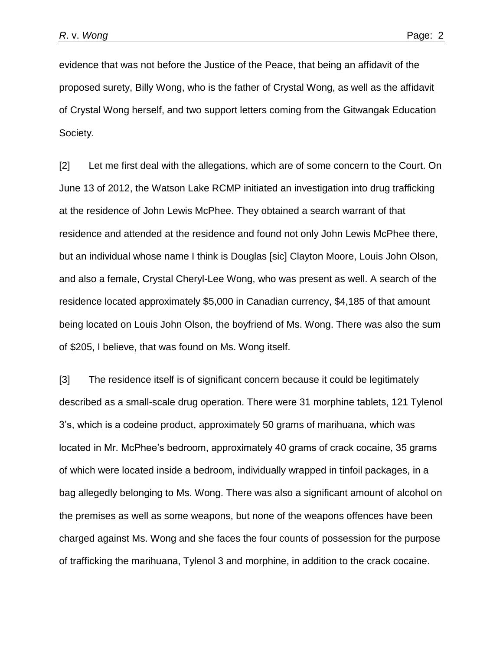evidence that was not before the Justice of the Peace, that being an affidavit of the proposed surety, Billy Wong, who is the father of Crystal Wong, as well as the affidavit of Crystal Wong herself, and two support letters coming from the Gitwangak Education Society.

[2] Let me first deal with the allegations, which are of some concern to the Court. On June 13 of 2012, the Watson Lake RCMP initiated an investigation into drug trafficking at the residence of John Lewis McPhee. They obtained a search warrant of that residence and attended at the residence and found not only John Lewis McPhee there, but an individual whose name I think is Douglas [sic] Clayton Moore, Louis John Olson, and also a female, Crystal Cheryl-Lee Wong, who was present as well. A search of the residence located approximately \$5,000 in Canadian currency, \$4,185 of that amount being located on Louis John Olson, the boyfriend of Ms. Wong. There was also the sum of \$205, I believe, that was found on Ms. Wong itself.

[3] The residence itself is of significant concern because it could be legitimately described as a small-scale drug operation. There were 31 morphine tablets, 121 Tylenol 3's, which is a codeine product, approximately 50 grams of marihuana, which was located in Mr. McPhee's bedroom, approximately 40 grams of crack cocaine, 35 grams of which were located inside a bedroom, individually wrapped in tinfoil packages, in a bag allegedly belonging to Ms. Wong. There was also a significant amount of alcohol on the premises as well as some weapons, but none of the weapons offences have been charged against Ms. Wong and she faces the four counts of possession for the purpose of trafficking the marihuana, Tylenol 3 and morphine, in addition to the crack cocaine.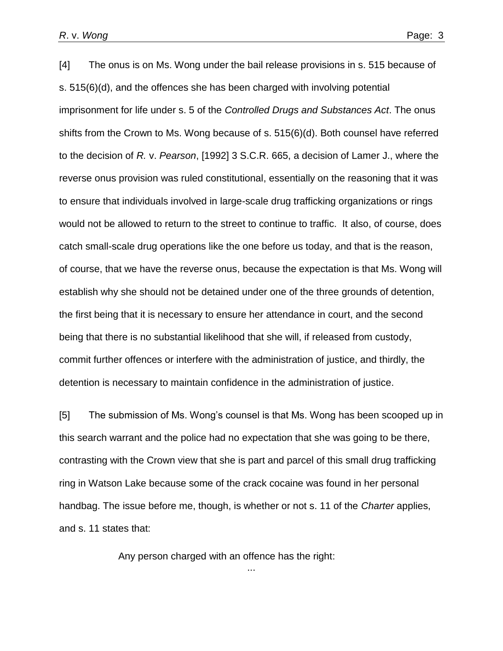[4] The onus is on Ms. Wong under the bail release provisions in s. 515 because of s. 515(6)(d), and the offences she has been charged with involving potential imprisonment for life under s. 5 of the *Controlled Drugs and Substances Act*. The onus shifts from the Crown to Ms. Wong because of s. 515(6)(d). Both counsel have referred to the decision of *R.* v. *Pearson*, [1992] 3 S.C.R. 665, a decision of Lamer J., where the reverse onus provision was ruled constitutional, essentially on the reasoning that it was to ensure that individuals involved in large-scale drug trafficking organizations or rings would not be allowed to return to the street to continue to traffic. It also, of course, does catch small-scale drug operations like the one before us today, and that is the reason, of course, that we have the reverse onus, because the expectation is that Ms. Wong will establish why she should not be detained under one of the three grounds of detention, the first being that it is necessary to ensure her attendance in court, and the second being that there is no substantial likelihood that she will, if released from custody, commit further offences or interfere with the administration of justice, and thirdly, the detention is necessary to maintain confidence in the administration of justice.

[5] The submission of Ms. Wong's counsel is that Ms. Wong has been scooped up in this search warrant and the police had no expectation that she was going to be there, contrasting with the Crown view that she is part and parcel of this small drug trafficking ring in Watson Lake because some of the crack cocaine was found in her personal handbag. The issue before me, though, is whether or not s. 11 of the *Charter* applies, and s. 11 states that:

...

Any person charged with an offence has the right: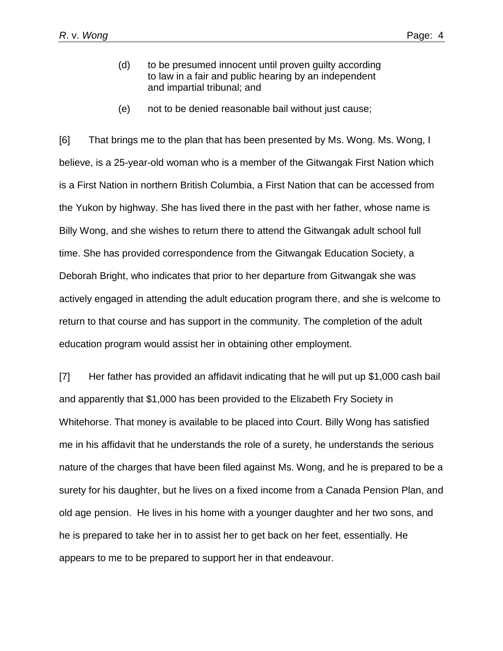- (d) to be presumed innocent until proven guilty according to law in a fair and public hearing by an independent and impartial tribunal; and
- (e) not to be denied reasonable bail without just cause;

[6] That brings me to the plan that has been presented by Ms. Wong. Ms. Wong, I believe, is a 25-year-old woman who is a member of the Gitwangak First Nation which is a First Nation in northern British Columbia, a First Nation that can be accessed from the Yukon by highway. She has lived there in the past with her father, whose name is Billy Wong, and she wishes to return there to attend the Gitwangak adult school full time. She has provided correspondence from the Gitwangak Education Society, a Deborah Bright, who indicates that prior to her departure from Gitwangak she was actively engaged in attending the adult education program there, and she is welcome to return to that course and has support in the community. The completion of the adult education program would assist her in obtaining other employment.

[7] Her father has provided an affidavit indicating that he will put up \$1,000 cash bail and apparently that \$1,000 has been provided to the Elizabeth Fry Society in Whitehorse. That money is available to be placed into Court. Billy Wong has satisfied me in his affidavit that he understands the role of a surety, he understands the serious nature of the charges that have been filed against Ms. Wong, and he is prepared to be a surety for his daughter, but he lives on a fixed income from a Canada Pension Plan, and old age pension. He lives in his home with a younger daughter and her two sons, and he is prepared to take her in to assist her to get back on her feet, essentially. He appears to me to be prepared to support her in that endeavour.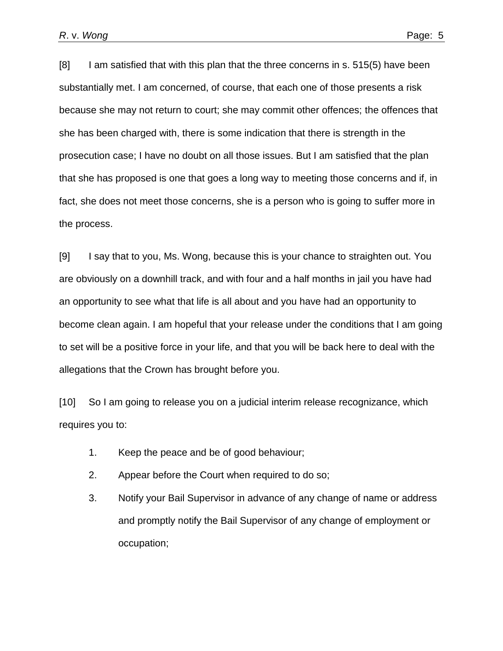[8] I am satisfied that with this plan that the three concerns in s. 515(5) have been substantially met. I am concerned, of course, that each one of those presents a risk because she may not return to court; she may commit other offences; the offences that she has been charged with, there is some indication that there is strength in the prosecution case; I have no doubt on all those issues. But I am satisfied that the plan that she has proposed is one that goes a long way to meeting those concerns and if, in fact, she does not meet those concerns, she is a person who is going to suffer more in the process.

[9] I say that to you, Ms. Wong, because this is your chance to straighten out. You are obviously on a downhill track, and with four and a half months in jail you have had an opportunity to see what that life is all about and you have had an opportunity to become clean again. I am hopeful that your release under the conditions that I am going to set will be a positive force in your life, and that you will be back here to deal with the allegations that the Crown has brought before you.

[10] So I am going to release you on a judicial interim release recognizance, which requires you to:

- 1. Keep the peace and be of good behaviour;
- 2. Appear before the Court when required to do so;
- 3. Notify your Bail Supervisor in advance of any change of name or address and promptly notify the Bail Supervisor of any change of employment or occupation;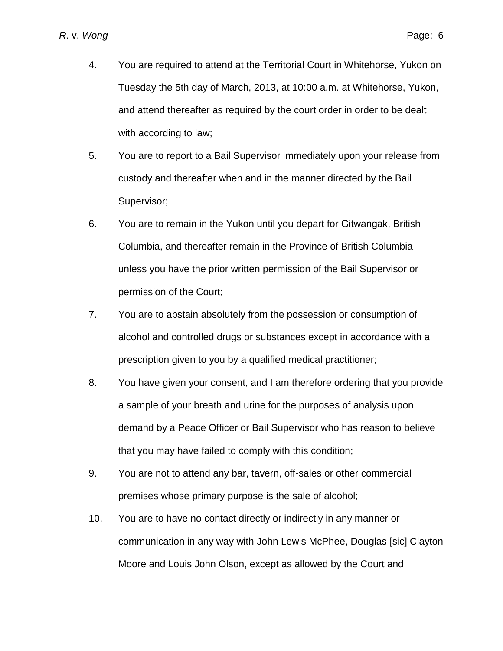- 4. You are required to attend at the Territorial Court in Whitehorse, Yukon on Tuesday the 5th day of March, 2013, at 10:00 a.m. at Whitehorse, Yukon, and attend thereafter as required by the court order in order to be dealt with according to law;
- 5. You are to report to a Bail Supervisor immediately upon your release from custody and thereafter when and in the manner directed by the Bail Supervisor;
- 6. You are to remain in the Yukon until you depart for Gitwangak, British Columbia, and thereafter remain in the Province of British Columbia unless you have the prior written permission of the Bail Supervisor or permission of the Court;
- 7. You are to abstain absolutely from the possession or consumption of alcohol and controlled drugs or substances except in accordance with a prescription given to you by a qualified medical practitioner;
- 8. You have given your consent, and I am therefore ordering that you provide a sample of your breath and urine for the purposes of analysis upon demand by a Peace Officer or Bail Supervisor who has reason to believe that you may have failed to comply with this condition;
- 9. You are not to attend any bar, tavern, off-sales or other commercial premises whose primary purpose is the sale of alcohol;
- 10. You are to have no contact directly or indirectly in any manner or communication in any way with John Lewis McPhee, Douglas [sic] Clayton Moore and Louis John Olson, except as allowed by the Court and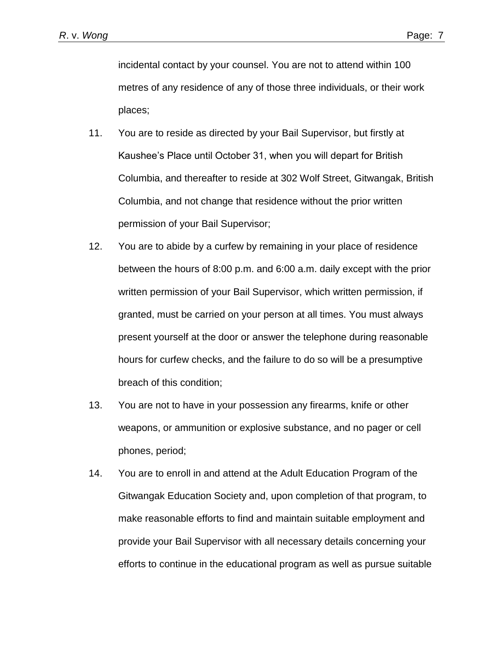incidental contact by your counsel. You are not to attend within 100 metres of any residence of any of those three individuals, or their work places;

- 11. You are to reside as directed by your Bail Supervisor, but firstly at Kaushee's Place until October 31, when you will depart for British Columbia, and thereafter to reside at 302 Wolf Street, Gitwangak, British Columbia, and not change that residence without the prior written permission of your Bail Supervisor;
- 12. You are to abide by a curfew by remaining in your place of residence between the hours of 8:00 p.m. and 6:00 a.m. daily except with the prior written permission of your Bail Supervisor, which written permission, if granted, must be carried on your person at all times. You must always present yourself at the door or answer the telephone during reasonable hours for curfew checks, and the failure to do so will be a presumptive breach of this condition;
- 13. You are not to have in your possession any firearms, knife or other weapons, or ammunition or explosive substance, and no pager or cell phones, period;
- 14. You are to enroll in and attend at the Adult Education Program of the Gitwangak Education Society and, upon completion of that program, to make reasonable efforts to find and maintain suitable employment and provide your Bail Supervisor with all necessary details concerning your efforts to continue in the educational program as well as pursue suitable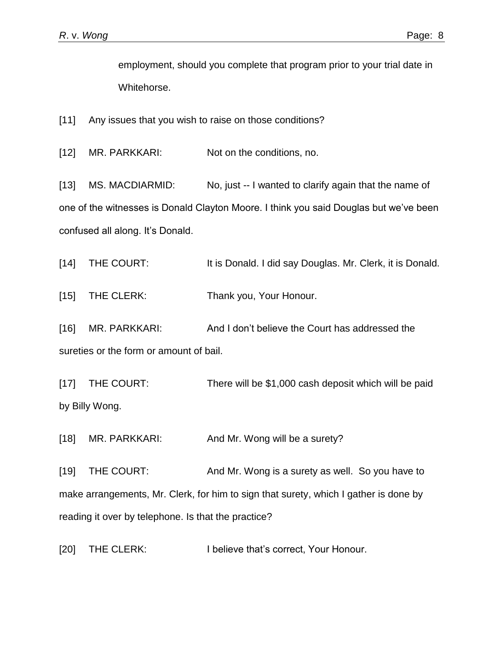employment, should you complete that program prior to your trial date in Whitehorse.

[11] Any issues that you wish to raise on those conditions?

[12] MR. PARKKARI: Not on the conditions, no.

[13] MS. MACDIARMID: No, just -- I wanted to clarify again that the name of one of the witnesses is Donald Clayton Moore. I think you said Douglas but we've been confused all along. It's Donald.

[14] THE COURT: It is Donald. I did say Douglas. Mr. Clerk, it is Donald.

[15] THE CLERK: Thank you, Your Honour.

[16] MR. PARKKARI: And I don't believe the Court has addressed the sureties or the form or amount of bail.

[17] THE COURT: There will be \$1,000 cash deposit which will be paid by Billy Wong.

[18] MR. PARKKARI: And Mr. Wong will be a surety?

[19] THE COURT: And Mr. Wong is a surety as well. So you have to make arrangements, Mr. Clerk, for him to sign that surety, which I gather is done by reading it over by telephone. Is that the practice?

[20] THE CLERK: I believe that's correct, Your Honour.